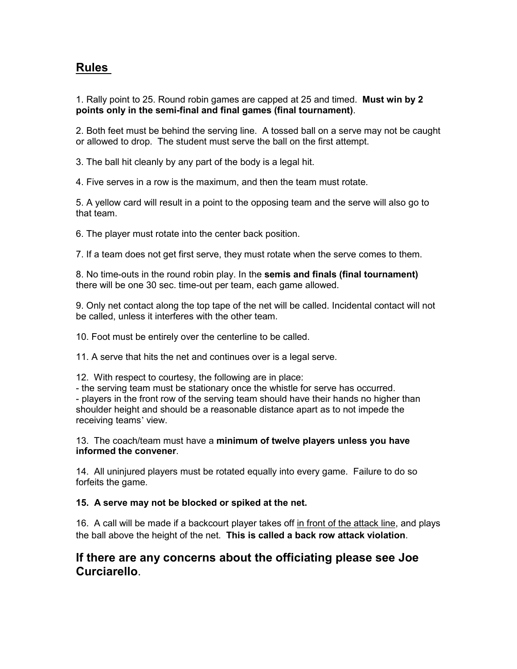# **Rules**

1. Rally point to 25. Round robin games are capped at 25 and timed. **Must win by 2 points only in the semi-final and final games (final tournament)**.

2. Both feet must be behind the serving line. A tossed ball on a serve may not be caught or allowed to drop. The student must serve the ball on the first attempt.

3. The ball hit cleanly by any part of the body is a legal hit.

4. Five serves in a row is the maximum, and then the team must rotate.

5. A yellow card will result in a point to the opposing team and the serve will also go to that team.

6. The player must rotate into the center back position.

7. If a team does not get first serve, they must rotate when the serve comes to them.

8. No time-outs in the round robin play. In the **semis and finals (final tournament)** there will be one 30 sec. time-out per team, each game allowed.

9. Only net contact along the top tape of the net will be called. Incidental contact will not be called, unless it interferes with the other team.

10. Foot must be entirely over the centerline to be called.

11. A serve that hits the net and continues over is a legal serve.

12. With respect to courtesy, the following are in place:

- the serving team must be stationary once the whistle for serve has occurred. - players in the front row of the serving team should have their hands no higher than shoulder height and should be a reasonable distance apart as to not impede the receiving teams' view.

13. The coach/team must have a **minimum of twelve players unless you have informed the convener**.

14. All uninjured players must be rotated equally into every game. Failure to do so forfeits the game.

#### **15. A serve may not be blocked or spiked at the net.**

16. A call will be made if a backcourt player takes off in front of the attack line, and plays the ball above the height of the net. **This is called a back row attack violation**.

# **If there are any concerns about the officiating please see Joe Curciarello**.